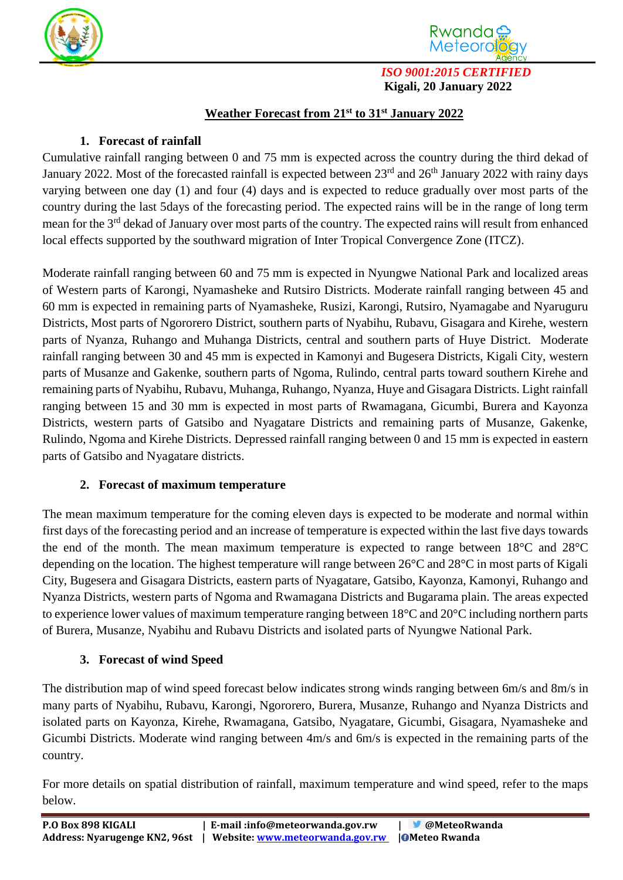



*ISO 9001:2015 CERTIFIED*  **Kigali, 20 January 2022**

## **Weather Forecast from 21 st to 31st January 2022**

## **1. Forecast of rainfall**

Cumulative rainfall ranging between 0 and 75 mm is expected across the country during the third dekad of January 2022. Most of the forecasted rainfall is expected between  $23<sup>rd</sup>$  and  $26<sup>th</sup>$  January 2022 with rainy days varying between one day (1) and four (4) days and is expected to reduce gradually over most parts of the country during the last 5days of the forecasting period. The expected rains will be in the range of long term mean for the 3<sup>rd</sup> dekad of January over most parts of the country. The expected rains will result from enhanced local effects supported by the southward migration of Inter Tropical Convergence Zone (ITCZ).

Moderate rainfall ranging between 60 and 75 mm is expected in Nyungwe National Park and localized areas of Western parts of Karongi, Nyamasheke and Rutsiro Districts. Moderate rainfall ranging between 45 and 60 mm is expected in remaining parts of Nyamasheke, Rusizi, Karongi, Rutsiro, Nyamagabe and Nyaruguru Districts, Most parts of Ngororero District, southern parts of Nyabihu, Rubavu, Gisagara and Kirehe, western parts of Nyanza, Ruhango and Muhanga Districts, central and southern parts of Huye District. Moderate rainfall ranging between 30 and 45 mm is expected in Kamonyi and Bugesera Districts, Kigali City, western parts of Musanze and Gakenke, southern parts of Ngoma, Rulindo, central parts toward southern Kirehe and remaining parts of Nyabihu, Rubavu, Muhanga, Ruhango, Nyanza, Huye and Gisagara Districts. Light rainfall ranging between 15 and 30 mm is expected in most parts of Rwamagana, Gicumbi, Burera and Kayonza Districts, western parts of Gatsibo and Nyagatare Districts and remaining parts of Musanze, Gakenke, Rulindo, Ngoma and Kirehe Districts. Depressed rainfall ranging between 0 and 15 mm is expected in eastern parts of Gatsibo and Nyagatare districts.

## **2. Forecast of maximum temperature**

The mean maximum temperature for the coming eleven days is expected to be moderate and normal within first days of the forecasting period and an increase of temperature is expected within the last five days towards the end of the month. The mean maximum temperature is expected to range between 18°C and 28°C depending on the location. The highest temperature will range between 26°C and 28°C in most parts of Kigali City, Bugesera and Gisagara Districts, eastern parts of Nyagatare, Gatsibo, Kayonza, Kamonyi, Ruhango and Nyanza Districts, western parts of Ngoma and Rwamagana Districts and Bugarama plain. The areas expected to experience lower values of maximum temperature ranging between 18°C and 20°C including northern parts of Burera, Musanze, Nyabihu and Rubavu Districts and isolated parts of Nyungwe National Park.

## **3. Forecast of wind Speed**

The distribution map of wind speed forecast below indicates strong winds ranging between 6m/s and 8m/s in many parts of Nyabihu, Rubavu, Karongi, Ngororero, Burera, Musanze, Ruhango and Nyanza Districts and isolated parts on Kayonza, Kirehe, Rwamagana, Gatsibo, Nyagatare, Gicumbi, Gisagara, Nyamasheke and Gicumbi Districts. Moderate wind ranging between 4m/s and 6m/s is expected in the remaining parts of the country.

For more details on spatial distribution of rainfall, maximum temperature and wind speed, refer to the maps below.